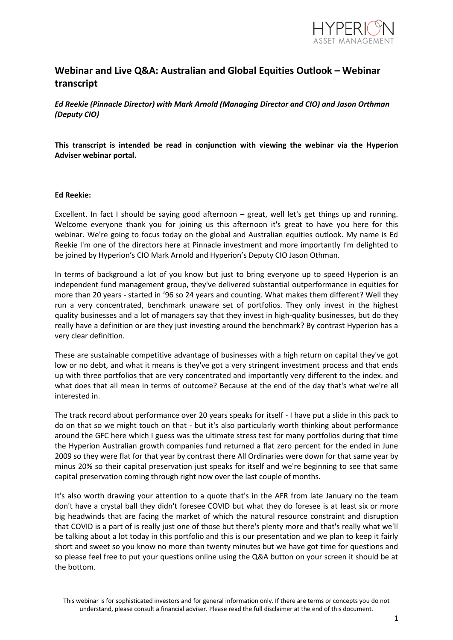

# **Webinar and Live Q&A: Australian and Global Equities Outlook – Webinar transcript**

*Ed Reekie (Pinnacle Director) with Mark Arnold (Managing Director and CIO) and Jason Orthman (Deputy CIO)*

**This transcript is intended be read in conjunction with viewing the webinar via the Hyperion Adviser webinar portal.**

### **Ed Reekie:**

Excellent. In fact I should be saying good afternoon – great, well let's get things up and running. Welcome everyone thank you for joining us this afternoon it's great to have you here for this webinar. We're going to focus today on the global and Australian equities outlook. My name is Ed Reekie I'm one of the directors here at Pinnacle investment and more importantly I'm delighted to be joined by Hyperion's CIO Mark Arnold and Hyperion's Deputy CIO Jason Othman.

In terms of background a lot of you know but just to bring everyone up to speed Hyperion is an independent fund management group, they've delivered substantial outperformance in equities for more than 20 years - started in '96 so 24 years and counting. What makes them different? Well they run a very concentrated, benchmark unaware set of portfolios. They only invest in the highest quality businesses and a lot of managers say that they invest in high-quality businesses, but do they really have a definition or are they just investing around the benchmark? By contrast Hyperion has a very clear definition.

These are sustainable competitive advantage of businesses with a high return on capital they've got low or no debt, and what it means is they've got a very stringent investment process and that ends up with three portfolios that are very concentrated and importantly very different to the index. and what does that all mean in terms of outcome? Because at the end of the day that's what we're all interested in.

The track record about performance over 20 years speaks for itself - I have put a slide in this pack to do on that so we might touch on that - but it's also particularly worth thinking about performance around the GFC here which I guess was the ultimate stress test for many portfolios during that time the Hyperion Australian growth companies fund returned a flat zero percent for the ended in June 2009 so they were flat for that year by contrast there All Ordinaries were down for that same year by minus 20% so their capital preservation just speaks for itself and we're beginning to see that same capital preservation coming through right now over the last couple of months.

It's also worth drawing your attention to a quote that's in the AFR from late January no the team don't have a crystal ball they didn't foresee COVID but what they do foresee is at least six or more big headwinds that are facing the market of which the natural resource constraint and disruption that COVID is a part of is really just one of those but there's plenty more and that's really what we'll be talking about a lot today in this portfolio and this is our presentation and we plan to keep it fairly short and sweet so you know no more than twenty minutes but we have got time for questions and so please feel free to put your questions online using the Q&A button on your screen it should be at the bottom.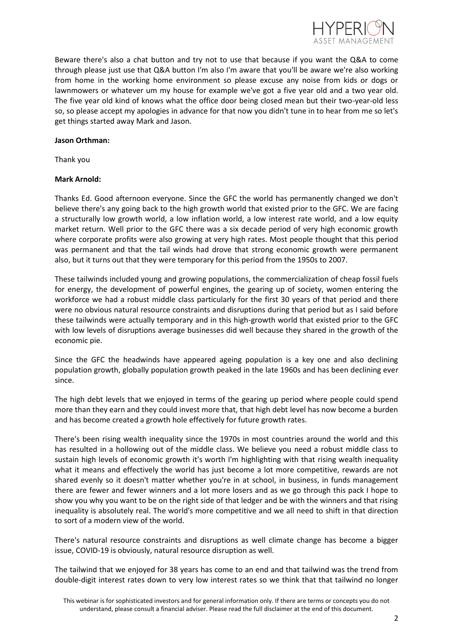

Beware there's also a chat button and try not to use that because if you want the Q&A to come through please just use that Q&A button I'm also I'm aware that you'll be aware we're also working from home in the working home environment so please excuse any noise from kids or dogs or lawnmowers or whatever um my house for example we've got a five year old and a two year old. The five year old kind of knows what the office door being closed mean but their two-year-old less so, so please accept my apologies in advance for that now you didn't tune in to hear from me so let's get things started away Mark and Jason.

## **Jason Orthman:**

Thank you

### **Mark Arnold:**

Thanks Ed. Good afternoon everyone. Since the GFC the world has permanently changed we don't believe there's any going back to the high growth world that existed prior to the GFC. We are facing a structurally low growth world, a low inflation world, a low interest rate world, and a low equity market return. Well prior to the GFC there was a six decade period of very high economic growth where corporate profits were also growing at very high rates. Most people thought that this period was permanent and that the tail winds had drove that strong economic growth were permanent also, but it turns out that they were temporary for this period from the 1950s to 2007.

These tailwinds included young and growing populations, the commercialization of cheap fossil fuels for energy, the development of powerful engines, the gearing up of society, women entering the workforce we had a robust middle class particularly for the first 30 years of that period and there were no obvious natural resource constraints and disruptions during that period but as I said before these tailwinds were actually temporary and in this high-growth world that existed prior to the GFC with low levels of disruptions average businesses did well because they shared in the growth of the economic pie.

Since the GFC the headwinds have appeared ageing population is a key one and also declining population growth, globally population growth peaked in the late 1960s and has been declining ever since.

The high debt levels that we enjoyed in terms of the gearing up period where people could spend more than they earn and they could invest more that, that high debt level has now become a burden and has become created a growth hole effectively for future growth rates.

There's been rising wealth inequality since the 1970s in most countries around the world and this has resulted in a hollowing out of the middle class. We believe you need a robust middle class to sustain high levels of economic growth it's worth I'm highlighting with that rising wealth inequality what it means and effectively the world has just become a lot more competitive, rewards are not shared evenly so it doesn't matter whether you're in at school, in business, in funds management there are fewer and fewer winners and a lot more losers and as we go through this pack I hope to show you why you want to be on the right side of that ledger and be with the winners and that rising inequality is absolutely real. The world's more competitive and we all need to shift in that direction to sort of a modern view of the world.

There's natural resource constraints and disruptions as well climate change has become a bigger issue, COVID-19 is obviously, natural resource disruption as well.

The tailwind that we enjoyed for 38 years has come to an end and that tailwind was the trend from double-digit interest rates down to very low interest rates so we think that that tailwind no longer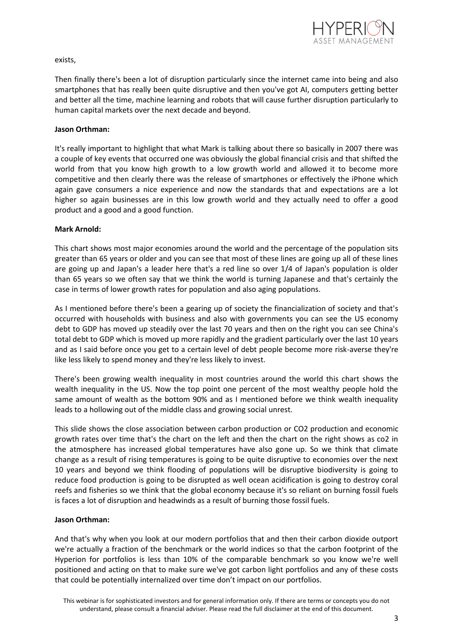

### exists,

Then finally there's been a lot of disruption particularly since the internet came into being and also smartphones that has really been quite disruptive and then you've got AI, computers getting better and better all the time, machine learning and robots that will cause further disruption particularly to human capital markets over the next decade and beyond.

### **Jason Orthman:**

It's really important to highlight that what Mark is talking about there so basically in 2007 there was a couple of key events that occurred one was obviously the global financial crisis and that shifted the world from that you know high growth to a low growth world and allowed it to become more competitive and then clearly there was the release of smartphones or effectively the iPhone which again gave consumers a nice experience and now the standards that and expectations are a lot higher so again businesses are in this low growth world and they actually need to offer a good product and a good and a good function.

### **Mark Arnold:**

This chart shows most major economies around the world and the percentage of the population sits greater than 65 years or older and you can see that most of these lines are going up all of these lines are going up and Japan's a leader here that's a red line so over 1/4 of Japan's population is older than 65 years so we often say that we think the world is turning Japanese and that's certainly the case in terms of lower growth rates for population and also aging populations.

As I mentioned before there's been a gearing up of society the financialization of society and that's occurred with households with business and also with governments you can see the US economy debt to GDP has moved up steadily over the last 70 years and then on the right you can see China's total debt to GDP which is moved up more rapidly and the gradient particularly over the last 10 years and as I said before once you get to a certain level of debt people become more risk-averse they're like less likely to spend money and they're less likely to invest.

There's been growing wealth inequality in most countries around the world this chart shows the wealth inequality in the US. Now the top point one percent of the most wealthy people hold the same amount of wealth as the bottom 90% and as I mentioned before we think wealth inequality leads to a hollowing out of the middle class and growing social unrest.

This slide shows the close association between carbon production or CO2 production and economic growth rates over time that's the chart on the left and then the chart on the right shows as co2 in the atmosphere has increased global temperatures have also gone up. So we think that climate change as a result of rising temperatures is going to be quite disruptive to economies over the next 10 years and beyond we think flooding of populations will be disruptive biodiversity is going to reduce food production is going to be disrupted as well ocean acidification is going to destroy coral reefs and fisheries so we think that the global economy because it's so reliant on burning fossil fuels is faces a lot of disruption and headwinds as a result of burning those fossil fuels.

## **Jason Orthman:**

And that's why when you look at our modern portfolios that and then their carbon dioxide outport we're actually a fraction of the benchmark or the world indices so that the carbon footprint of the Hyperion for portfolios is less than 10% of the comparable benchmark so you know we're well positioned and acting on that to make sure we've got carbon light portfolios and any of these costs that could be potentially internalized over time don't impact on our portfolios.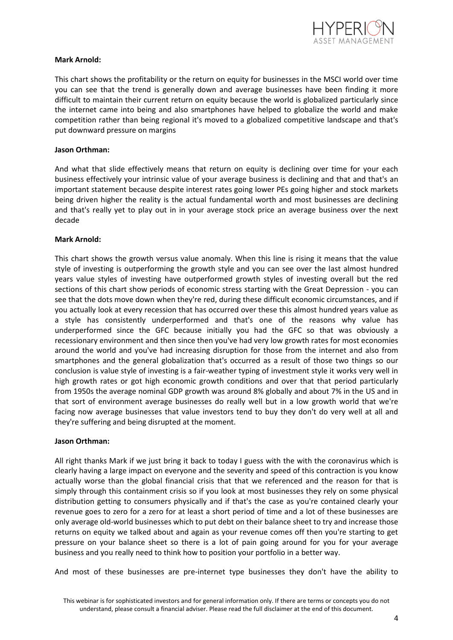

## **Mark Arnold:**

This chart shows the profitability or the return on equity for businesses in the MSCI world over time you can see that the trend is generally down and average businesses have been finding it more difficult to maintain their current return on equity because the world is globalized particularly since the internet came into being and also smartphones have helped to globalize the world and make competition rather than being regional it's moved to a globalized competitive landscape and that's put downward pressure on margins

### **Jason Orthman:**

And what that slide effectively means that return on equity is declining over time for your each business effectively your intrinsic value of your average business is declining and that and that's an important statement because despite interest rates going lower PEs going higher and stock markets being driven higher the reality is the actual fundamental worth and most businesses are declining and that's really yet to play out in in your average stock price an average business over the next decade

### **Mark Arnold:**

This chart shows the growth versus value anomaly. When this line is rising it means that the value style of investing is outperforming the growth style and you can see over the last almost hundred years value styles of investing have outperformed growth styles of investing overall but the red sections of this chart show periods of economic stress starting with the Great Depression - you can see that the dots move down when they're red, during these difficult economic circumstances, and if you actually look at every recession that has occurred over these this almost hundred years value as a style has consistently underperformed and that's one of the reasons why value has underperformed since the GFC because initially you had the GFC so that was obviously a recessionary environment and then since then you've had very low growth rates for most economies around the world and you've had increasing disruption for those from the internet and also from smartphones and the general globalization that's occurred as a result of those two things so our conclusion is value style of investing is a fair-weather typing of investment style it works very well in high growth rates or got high economic growth conditions and over that that period particularly from 1950s the average nominal GDP growth was around 8% globally and about 7% in the US and in that sort of environment average businesses do really well but in a low growth world that we're facing now average businesses that value investors tend to buy they don't do very well at all and they're suffering and being disrupted at the moment.

#### **Jason Orthman:**

All right thanks Mark if we just bring it back to today I guess with the with the coronavirus which is clearly having a large impact on everyone and the severity and speed of this contraction is you know actually worse than the global financial crisis that that we referenced and the reason for that is simply through this containment crisis so if you look at most businesses they rely on some physical distribution getting to consumers physically and if that's the case as you're contained clearly your revenue goes to zero for a zero for at least a short period of time and a lot of these businesses are only average old-world businesses which to put debt on their balance sheet to try and increase those returns on equity we talked about and again as your revenue comes off then you're starting to get pressure on your balance sheet so there is a lot of pain going around for you for your average business and you really need to think how to position your portfolio in a better way.

And most of these businesses are pre-internet type businesses they don't have the ability to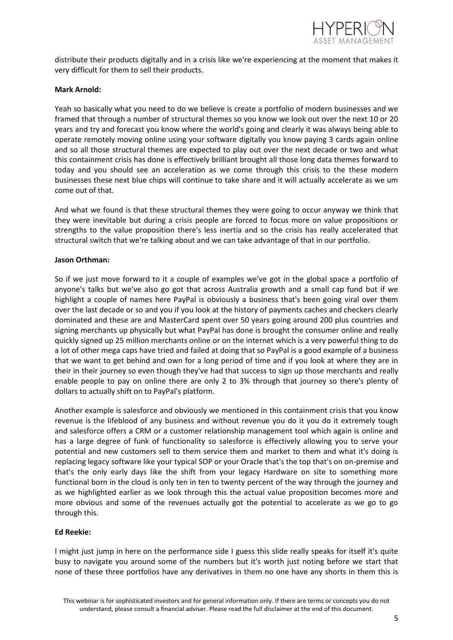

distribute their products digitally and in a crisis like we're experiencing at the moment that makes it very difficult for them to sell their products.

### **Mark Arnold:**

Yeah so basically what you need to do we believe is create a portfolio of modern businesses and we framed that through a number of structural themes so you know we look out over the next 10 or 20 years and try and forecast you know where the world's going and clearly it was always being able to operate remotely moving online using your software digitally you know paying 3 cards again online and so all those structural themes are expected to play out over the next decade or two and what this containment crisis has done is effectively brilliant brought all those long data themes forward to today and you should see an acceleration as we come through this crisis to the these modern businesses these next blue chips will continue to take share and it will actually accelerate as we um come out of that.

And what we found is that these structural themes they were going to occur anyway we think that they were inevitable but during a crisis people are forced to focus more on value propositions or strengths to the value proposition there's less inertia and so the crisis has really accelerated that structural switch that we're talking about and we can take advantage of that in our portfolio.

### **Jason Orthman:**

So if we just move forward to it a couple of examples we've got in the global space a portfolio of anyone's talks but we've also go got that across Australia growth and a small cap fund but if we highlight a couple of names here PayPal is obviously a business that's been going viral over them over the last decade or so and you if you look at the history of payments caches and checkers clearly dominated and these are and MasterCard spent over 50 years going around 200 plus countries and signing merchants up physically but what PayPal has done is brought the consumer online and really quickly signed up 25 million merchants online or on the internet which is a very powerful thing to do a lot of other mega caps have tried and failed at doing that so PayPal is a good example of a business that we want to get behind and own for a long period of time and if you look at where they are in their in their journey so even though they've had that success to sign up those merchants and really enable people to pay on online there are only 2 to 3% through that journey so there's plenty of dollars to actually shift on to PayPal's platform.

Another example is salesforce and obviously we mentioned in this containment crisis that you know revenue is the lifeblood of any business and without revenue you do it you do it extremely tough and salesforce offers a CRM or a customer relationship management tool which again is online and has a large degree of funk of functionality so salesforce is effectively allowing you to serve your potential and new customers sell to them service them and market to them and what it's doing is replacing legacy software like your typical SOP or your Oracle that's the top that's on on-premise and that's the only early days like the shift from your legacy Hardware on site to something more functional born in the cloud is only ten in ten to twenty percent of the way through the journey and as we highlighted earlier as we look through this the actual value proposition becomes more and more obvious and some of the revenues actually got the potential to accelerate as we go to go through this.

## **Ed Reekie:**

I might just jump in here on the performance side I guess this slide really speaks for itself it's quite busy to navigate you around some of the numbers but it's worth just noting before we start that none of these three portfolios have any derivatives in them no one have any shorts in them this is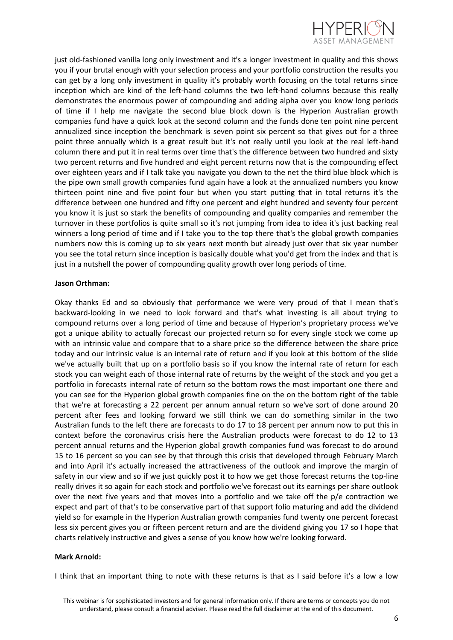

just old-fashioned vanilla long only investment and it's a longer investment in quality and this shows you if your brutal enough with your selection process and your portfolio construction the results you can get by a long only investment in quality it's probably worth focusing on the total returns since inception which are kind of the left-hand columns the two left-hand columns because this really demonstrates the enormous power of compounding and adding alpha over you know long periods of time if I help me navigate the second blue block down is the Hyperion Australian growth companies fund have a quick look at the second column and the funds done ten point nine percent annualized since inception the benchmark is seven point six percent so that gives out for a three point three annually which is a great result but it's not really until you look at the real left-hand column there and put it in real terms over time that's the difference between two hundred and sixty two percent returns and five hundred and eight percent returns now that is the compounding effect over eighteen years and if I talk take you navigate you down to the net the third blue block which is the pipe own small growth companies fund again have a look at the annualized numbers you know thirteen point nine and five point four but when you start putting that in total returns it's the difference between one hundred and fifty one percent and eight hundred and seventy four percent you know it is just so stark the benefits of compounding and quality companies and remember the turnover in these portfolios is quite small so it's not jumping from idea to idea it's just backing real winners a long period of time and if I take you to the top there that's the global growth companies numbers now this is coming up to six years next month but already just over that six year number you see the total return since inception is basically double what you'd get from the index and that is just in a nutshell the power of compounding quality growth over long periods of time.

### **Jason Orthman:**

Okay thanks Ed and so obviously that performance we were very proud of that I mean that's backward-looking in we need to look forward and that's what investing is all about trying to compound returns over a long period of time and because of Hyperion's proprietary process we've got a unique ability to actually forecast our projected return so for every single stock we come up with an intrinsic value and compare that to a share price so the difference between the share price today and our intrinsic value is an internal rate of return and if you look at this bottom of the slide we've actually built that up on a portfolio basis so if you know the internal rate of return for each stock you can weight each of those internal rate of returns by the weight of the stock and you get a portfolio in forecasts internal rate of return so the bottom rows the most important one there and you can see for the Hyperion global growth companies fine on the on the bottom right of the table that we're at forecasting a 22 percent per annum annual return so we've sort of done around 20 percent after fees and looking forward we still think we can do something similar in the two Australian funds to the left there are forecasts to do 17 to 18 percent per annum now to put this in context before the coronavirus crisis here the Australian products were forecast to do 12 to 13 percent annual returns and the Hyperion global growth companies fund was forecast to do around 15 to 16 percent so you can see by that through this crisis that developed through February March and into April it's actually increased the attractiveness of the outlook and improve the margin of safety in our view and so if we just quickly post it to how we get those forecast returns the top-line really drives it so again for each stock and portfolio we've forecast out its earnings per share outlook over the next five years and that moves into a portfolio and we take off the p/e contraction we expect and part of that's to be conservative part of that support folio maturing and add the dividend yield so for example in the Hyperion Australian growth companies fund twenty one percent forecast less six percent gives you or fifteen percent return and are the dividend giving you 17 so I hope that charts relatively instructive and gives a sense of you know how we're looking forward.

## **Mark Arnold:**

I think that an important thing to note with these returns is that as I said before it's a low a low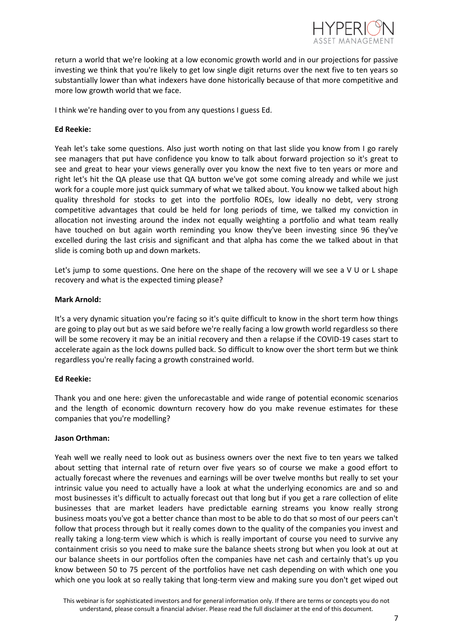

return a world that we're looking at a low economic growth world and in our projections for passive investing we think that you're likely to get low single digit returns over the next five to ten years so substantially lower than what indexers have done historically because of that more competitive and more low growth world that we face.

I think we're handing over to you from any questions I guess Ed.

# **Ed Reekie:**

Yeah let's take some questions. Also just worth noting on that last slide you know from I go rarely see managers that put have confidence you know to talk about forward projection so it's great to see and great to hear your views generally over you know the next five to ten years or more and right let's hit the QA please use that QA button we've got some coming already and while we just work for a couple more just quick summary of what we talked about. You know we talked about high quality threshold for stocks to get into the portfolio ROEs, low ideally no debt, very strong competitive advantages that could be held for long periods of time, we talked my conviction in allocation not investing around the index not equally weighting a portfolio and what team really have touched on but again worth reminding you know they've been investing since 96 they've excelled during the last crisis and significant and that alpha has come the we talked about in that slide is coming both up and down markets.

Let's jump to some questions. One here on the shape of the recovery will we see a V U or L shape recovery and what is the expected timing please?

## **Mark Arnold:**

It's a very dynamic situation you're facing so it's quite difficult to know in the short term how things are going to play out but as we said before we're really facing a low growth world regardless so there will be some recovery it may be an initial recovery and then a relapse if the COVID-19 cases start to accelerate again as the lock downs pulled back. So difficult to know over the short term but we think regardless you're really facing a growth constrained world.

## **Ed Reekie:**

Thank you and one here: given the unforecastable and wide range of potential economic scenarios and the length of economic downturn recovery how do you make revenue estimates for these companies that you're modelling?

## **Jason Orthman:**

Yeah well we really need to look out as business owners over the next five to ten years we talked about setting that internal rate of return over five years so of course we make a good effort to actually forecast where the revenues and earnings will be over twelve months but really to set your intrinsic value you need to actually have a look at what the underlying economics are and so and most businesses it's difficult to actually forecast out that long but if you get a rare collection of elite businesses that are market leaders have predictable earning streams you know really strong business moats you've got a better chance than most to be able to do that so most of our peers can't follow that process through but it really comes down to the quality of the companies you invest and really taking a long-term view which is which is really important of course you need to survive any containment crisis so you need to make sure the balance sheets strong but when you look at out at our balance sheets in our portfolios often the companies have net cash and certainly that's up you know between 50 to 75 percent of the portfolios have net cash depending on with which one you which one you look at so really taking that long-term view and making sure you don't get wiped out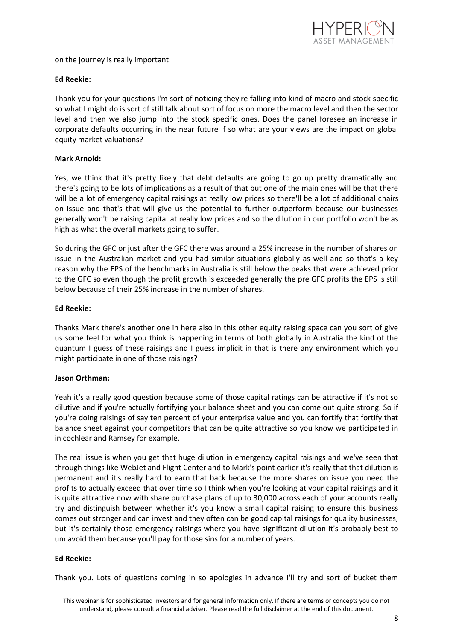

on the journey is really important.

# **Ed Reekie:**

Thank you for your questions I'm sort of noticing they're falling into kind of macro and stock specific so what I might do is sort of still talk about sort of focus on more the macro level and then the sector level and then we also jump into the stock specific ones. Does the panel foresee an increase in corporate defaults occurring in the near future if so what are your views are the impact on global equity market valuations?

## **Mark Arnold:**

Yes, we think that it's pretty likely that debt defaults are going to go up pretty dramatically and there's going to be lots of implications as a result of that but one of the main ones will be that there will be a lot of emergency capital raisings at really low prices so there'll be a lot of additional chairs on issue and that's that will give us the potential to further outperform because our businesses generally won't be raising capital at really low prices and so the dilution in our portfolio won't be as high as what the overall markets going to suffer.

So during the GFC or just after the GFC there was around a 25% increase in the number of shares on issue in the Australian market and you had similar situations globally as well and so that's a key reason why the EPS of the benchmarks in Australia is still below the peaks that were achieved prior to the GFC so even though the profit growth is exceeded generally the pre GFC profits the EPS is still below because of their 25% increase in the number of shares.

# **Ed Reekie:**

Thanks Mark there's another one in here also in this other equity raising space can you sort of give us some feel for what you think is happening in terms of both globally in Australia the kind of the quantum I guess of these raisings and I guess implicit in that is there any environment which you might participate in one of those raisings?

## **Jason Orthman:**

Yeah it's a really good question because some of those capital ratings can be attractive if it's not so dilutive and if you're actually fortifying your balance sheet and you can come out quite strong. So if you're doing raisings of say ten percent of your enterprise value and you can fortify that fortify that balance sheet against your competitors that can be quite attractive so you know we participated in in cochlear and Ramsey for example.

The real issue is when you get that huge dilution in emergency capital raisings and we've seen that through things like WebJet and Flight Center and to Mark's point earlier it's really that that dilution is permanent and it's really hard to earn that back because the more shares on issue you need the profits to actually exceed that over time so I think when you're looking at your capital raisings and it is quite attractive now with share purchase plans of up to 30,000 across each of your accounts really try and distinguish between whether it's you know a small capital raising to ensure this business comes out stronger and can invest and they often can be good capital raisings for quality businesses, but it's certainly those emergency raisings where you have significant dilution it's probably best to um avoid them because you'll pay for those sins for a number of years.

# **Ed Reekie:**

Thank you. Lots of questions coming in so apologies in advance I'll try and sort of bucket them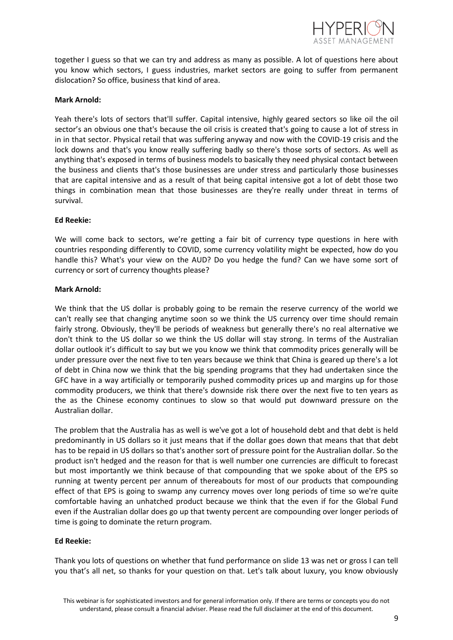

together I guess so that we can try and address as many as possible. A lot of questions here about you know which sectors, I guess industries, market sectors are going to suffer from permanent dislocation? So office, business that kind of area.

## **Mark Arnold:**

Yeah there's lots of sectors that'll suffer. Capital intensive, highly geared sectors so like oil the oil sector's an obvious one that's because the oil crisis is created that's going to cause a lot of stress in in in that sector. Physical retail that was suffering anyway and now with the COVID-19 crisis and the lock downs and that's you know really suffering badly so there's those sorts of sectors. As well as anything that's exposed in terms of business models to basically they need physical contact between the business and clients that's those businesses are under stress and particularly those businesses that are capital intensive and as a result of that being capital intensive got a lot of debt those two things in combination mean that those businesses are they're really under threat in terms of survival.

# **Ed Reekie:**

We will come back to sectors, we're getting a fair bit of currency type questions in here with countries responding differently to COVID, some currency volatility might be expected, how do you handle this? What's your view on the AUD? Do you hedge the fund? Can we have some sort of currency or sort of currency thoughts please?

## **Mark Arnold:**

We think that the US dollar is probably going to be remain the reserve currency of the world we can't really see that changing anytime soon so we think the US currency over time should remain fairly strong. Obviously, they'll be periods of weakness but generally there's no real alternative we don't think to the US dollar so we think the US dollar will stay strong. In terms of the Australian dollar outlook it's difficult to say but we you know we think that commodity prices generally will be under pressure over the next five to ten years because we think that China is geared up there's a lot of debt in China now we think that the big spending programs that they had undertaken since the GFC have in a way artificially or temporarily pushed commodity prices up and margins up for those commodity producers, we think that there's downside risk there over the next five to ten years as the as the Chinese economy continues to slow so that would put downward pressure on the Australian dollar.

The problem that the Australia has as well is we've got a lot of household debt and that debt is held predominantly in US dollars so it just means that if the dollar goes down that means that that debt has to be repaid in US dollars so that's another sort of pressure point for the Australian dollar. So the product isn't hedged and the reason for that is well number one currencies are difficult to forecast but most importantly we think because of that compounding that we spoke about of the EPS so running at twenty percent per annum of thereabouts for most of our products that compounding effect of that EPS is going to swamp any currency moves over long periods of time so we're quite comfortable having an unhatched product because we think that the even if for the Global Fund even if the Australian dollar does go up that twenty percent are compounding over longer periods of time is going to dominate the return program.

## **Ed Reekie:**

Thank you lots of questions on whether that fund performance on slide 13 was net or gross I can tell you that's all net, so thanks for your question on that. Let's talk about luxury, you know obviously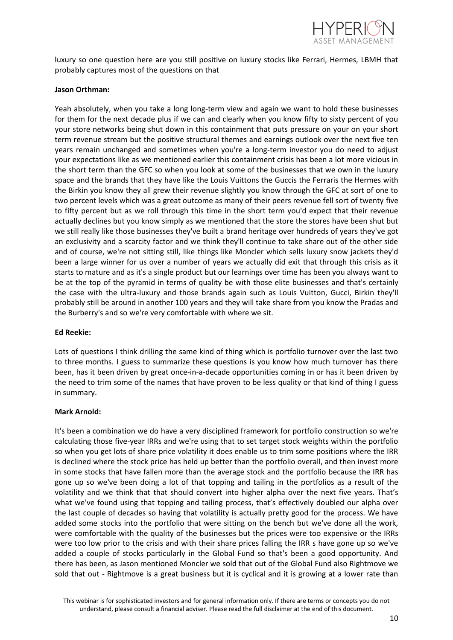

luxury so one question here are you still positive on luxury stocks like Ferrari, Hermes, LBMH that probably captures most of the questions on that

### **Jason Orthman:**

Yeah absolutely, when you take a long long-term view and again we want to hold these businesses for them for the next decade plus if we can and clearly when you know fifty to sixty percent of you your store networks being shut down in this containment that puts pressure on your on your short term revenue stream but the positive structural themes and earnings outlook over the next five ten years remain unchanged and sometimes when you're a long-term investor you do need to adjust your expectations like as we mentioned earlier this containment crisis has been a lot more vicious in the short term than the GFC so when you look at some of the businesses that we own in the luxury space and the brands that they have like the Louis Vuittons the Guccis the Ferraris the Hermes with the Birkin you know they all grew their revenue slightly you know through the GFC at sort of one to two percent levels which was a great outcome as many of their peers revenue fell sort of twenty five to fifty percent but as we roll through this time in the short term you'd expect that their revenue actually declines but you know simply as we mentioned that the store the stores have been shut but we still really like those businesses they've built a brand heritage over hundreds of years they've got an exclusivity and a scarcity factor and we think they'll continue to take share out of the other side and of course, we're not sitting still, like things like Moncler which sells luxury snow jackets they'd been a large winner for us over a number of years we actually did exit that through this crisis as it starts to mature and as it's a single product but our learnings over time has been you always want to be at the top of the pyramid in terms of quality be with those elite businesses and that's certainly the case with the ultra-luxury and those brands again such as Louis Vuitton, Gucci, Birkin they'll probably still be around in another 100 years and they will take share from you know the Pradas and the Burberry's and so we're very comfortable with where we sit.

## **Ed Reekie:**

Lots of questions I think drilling the same kind of thing which is portfolio turnover over the last two to three months. I guess to summarize these questions is you know how much turnover has there been, has it been driven by great once-in-a-decade opportunities coming in or has it been driven by the need to trim some of the names that have proven to be less quality or that kind of thing I guess in summary.

#### **Mark Arnold:**

It's been a combination we do have a very disciplined framework for portfolio construction so we're calculating those five-year IRRs and we're using that to set target stock weights within the portfolio so when you get lots of share price volatility it does enable us to trim some positions where the IRR is declined where the stock price has held up better than the portfolio overall, and then invest more in some stocks that have fallen more than the average stock and the portfolio because the IRR has gone up so we've been doing a lot of that topping and tailing in the portfolios as a result of the volatility and we think that that should convert into higher alpha over the next five years. That's what we've found using that topping and tailing process, that's effectively doubled our alpha over the last couple of decades so having that volatility is actually pretty good for the process. We have added some stocks into the portfolio that were sitting on the bench but we've done all the work, were comfortable with the quality of the businesses but the prices were too expensive or the IRRs were too low prior to the crisis and with their share prices falling the IRR s have gone up so we've added a couple of stocks particularly in the Global Fund so that's been a good opportunity. And there has been, as Jason mentioned Moncler we sold that out of the Global Fund also Rightmove we sold that out - Rightmove is a great business but it is cyclical and it is growing at a lower rate than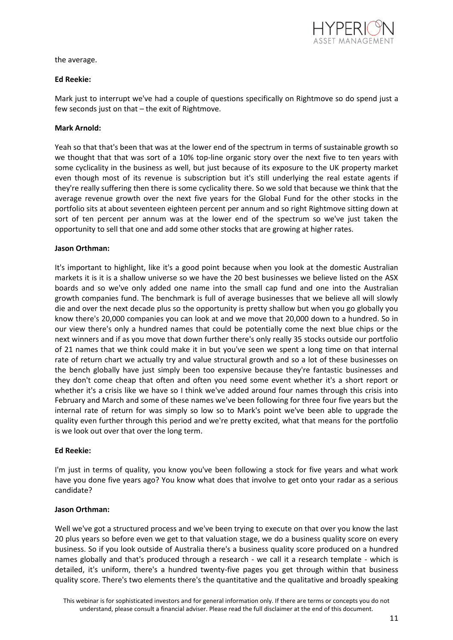

the average.

# **Ed Reekie:**

Mark just to interrupt we've had a couple of questions specifically on Rightmove so do spend just a few seconds just on that – the exit of Rightmove.

# **Mark Arnold:**

Yeah so that that's been that was at the lower end of the spectrum in terms of sustainable growth so we thought that that was sort of a 10% top-line organic story over the next five to ten years with some cyclicality in the business as well, but just because of its exposure to the UK property market even though most of its revenue is subscription but it's still underlying the real estate agents if they're really suffering then there is some cyclicality there. So we sold that because we think that the average revenue growth over the next five years for the Global Fund for the other stocks in the portfolio sits at about seventeen eighteen percent per annum and so right Rightmove sitting down at sort of ten percent per annum was at the lower end of the spectrum so we've just taken the opportunity to sell that one and add some other stocks that are growing at higher rates.

# **Jason Orthman:**

It's important to highlight, like it's a good point because when you look at the domestic Australian markets it is it is a shallow universe so we have the 20 best businesses we believe listed on the ASX boards and so we've only added one name into the small cap fund and one into the Australian growth companies fund. The benchmark is full of average businesses that we believe all will slowly die and over the next decade plus so the opportunity is pretty shallow but when you go globally you know there's 20,000 companies you can look at and we move that 20,000 down to a hundred. So in our view there's only a hundred names that could be potentially come the next blue chips or the next winners and if as you move that down further there's only really 35 stocks outside our portfolio of 21 names that we think could make it in but you've seen we spent a long time on that internal rate of return chart we actually try and value structural growth and so a lot of these businesses on the bench globally have just simply been too expensive because they're fantastic businesses and they don't come cheap that often and often you need some event whether it's a short report or whether it's a crisis like we have so I think we've added around four names through this crisis into February and March and some of these names we've been following for three four five years but the internal rate of return for was simply so low so to Mark's point we've been able to upgrade the quality even further through this period and we're pretty excited, what that means for the portfolio is we look out over that over the long term.

## **Ed Reekie:**

I'm just in terms of quality, you know you've been following a stock for five years and what work have you done five years ago? You know what does that involve to get onto your radar as a serious candidate?

## **Jason Orthman:**

Well we've got a structured process and we've been trying to execute on that over you know the last 20 plus years so before even we get to that valuation stage, we do a business quality score on every business. So if you look outside of Australia there's a business quality score produced on a hundred names globally and that's produced through a research - we call it a research template - which is detailed, it's uniform, there's a hundred twenty-five pages you get through within that business quality score. There's two elements there's the quantitative and the qualitative and broadly speaking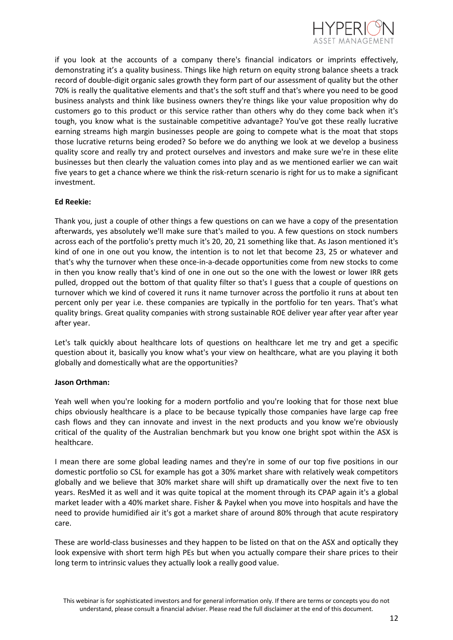

if you look at the accounts of a company there's financial indicators or imprints effectively, demonstrating it's a quality business. Things like high return on equity strong balance sheets a track record of double-digit organic sales growth they form part of our assessment of quality but the other 70% is really the qualitative elements and that's the soft stuff and that's where you need to be good business analysts and think like business owners they're things like your value proposition why do customers go to this product or this service rather than others why do they come back when it's tough, you know what is the sustainable competitive advantage? You've got these really lucrative earning streams high margin businesses people are going to compete what is the moat that stops those lucrative returns being eroded? So before we do anything we look at we develop a business quality score and really try and protect ourselves and investors and make sure we're in these elite businesses but then clearly the valuation comes into play and as we mentioned earlier we can wait five years to get a chance where we think the risk-return scenario is right for us to make a significant investment.

# **Ed Reekie:**

Thank you, just a couple of other things a few questions on can we have a copy of the presentation afterwards, yes absolutely we'll make sure that's mailed to you. A few questions on stock numbers across each of the portfolio's pretty much it's 20, 20, 21 something like that. As Jason mentioned it's kind of one in one out you know, the intention is to not let that become 23, 25 or whatever and that's why the turnover when these once-in-a-decade opportunities come from new stocks to come in then you know really that's kind of one in one out so the one with the lowest or lower IRR gets pulled, dropped out the bottom of that quality filter so that's I guess that a couple of questions on turnover which we kind of covered it runs it name turnover across the portfolio it runs at about ten percent only per year i.e. these companies are typically in the portfolio for ten years. That's what quality brings. Great quality companies with strong sustainable ROE deliver year after year after year after year.

Let's talk quickly about healthcare lots of questions on healthcare let me try and get a specific question about it, basically you know what's your view on healthcare, what are you playing it both globally and domestically what are the opportunities?

## **Jason Orthman:**

Yeah well when you're looking for a modern portfolio and you're looking that for those next blue chips obviously healthcare is a place to be because typically those companies have large cap free cash flows and they can innovate and invest in the next products and you know we're obviously critical of the quality of the Australian benchmark but you know one bright spot within the ASX is healthcare.

I mean there are some global leading names and they're in some of our top five positions in our domestic portfolio so CSL for example has got a 30% market share with relatively weak competitors globally and we believe that 30% market share will shift up dramatically over the next five to ten years. ResMed it as well and it was quite topical at the moment through its CPAP again it's a global market leader with a 40% market share. Fisher & Paykel when you move into hospitals and have the need to provide humidified air it's got a market share of around 80% through that acute respiratory care.

These are world-class businesses and they happen to be listed on that on the ASX and optically they look expensive with short term high PEs but when you actually compare their share prices to their long term to intrinsic values they actually look a really good value.

This webinar is for sophisticated investors and for general information only. If there are terms or concepts you do not understand, please consult a financial adviser. Please read the full disclaimer at the end of this document.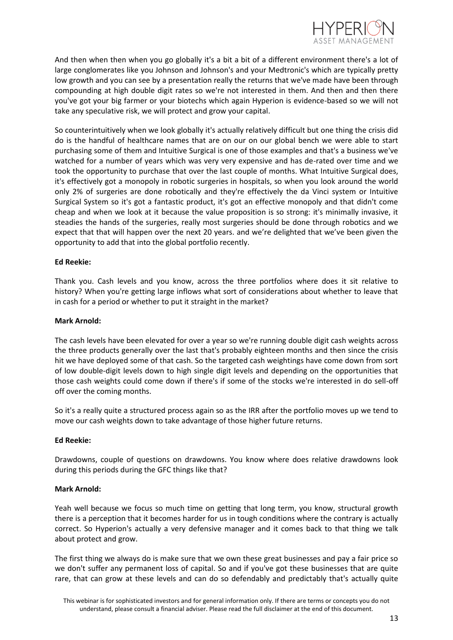

And then when then when you go globally it's a bit a bit of a different environment there's a lot of large conglomerates like you Johnson and Johnson's and your Medtronic's which are typically pretty low growth and you can see by a presentation really the returns that we've made have been through compounding at high double digit rates so we're not interested in them. And then and then there you've got your big farmer or your biotechs which again Hyperion is evidence-based so we will not take any speculative risk, we will protect and grow your capital.

So counterintuitively when we look globally it's actually relatively difficult but one thing the crisis did do is the handful of healthcare names that are on our on our global bench we were able to start purchasing some of them and Intuitive Surgical is one of those examples and that's a business we've watched for a number of years which was very very expensive and has de-rated over time and we took the opportunity to purchase that over the last couple of months. What Intuitive Surgical does, it's effectively got a monopoly in robotic surgeries in hospitals, so when you look around the world only 2% of surgeries are done robotically and they're effectively the da Vinci system or Intuitive Surgical System so it's got a fantastic product, it's got an effective monopoly and that didn't come cheap and when we look at it because the value proposition is so strong: it's minimally invasive, it steadies the hands of the surgeries, really most surgeries should be done through robotics and we expect that that will happen over the next 20 years. and we're delighted that we've been given the opportunity to add that into the global portfolio recently.

## **Ed Reekie:**

Thank you. Cash levels and you know, across the three portfolios where does it sit relative to history? When you're getting large inflows what sort of considerations about whether to leave that in cash for a period or whether to put it straight in the market?

#### **Mark Arnold:**

The cash levels have been elevated for over a year so we're running double digit cash weights across the three products generally over the last that's probably eighteen months and then since the crisis hit we have deployed some of that cash. So the targeted cash weightings have come down from sort of low double-digit levels down to high single digit levels and depending on the opportunities that those cash weights could come down if there's if some of the stocks we're interested in do sell-off off over the coming months.

So it's a really quite a structured process again so as the IRR after the portfolio moves up we tend to move our cash weights down to take advantage of those higher future returns.

## **Ed Reekie:**

Drawdowns, couple of questions on drawdowns. You know where does relative drawdowns look during this periods during the GFC things like that?

#### **Mark Arnold:**

Yeah well because we focus so much time on getting that long term, you know, structural growth there is a perception that it becomes harder for us in tough conditions where the contrary is actually correct. So Hyperion's actually a very defensive manager and it comes back to that thing we talk about protect and grow.

The first thing we always do is make sure that we own these great businesses and pay a fair price so we don't suffer any permanent loss of capital. So and if you've got these businesses that are quite rare, that can grow at these levels and can do so defendably and predictably that's actually quite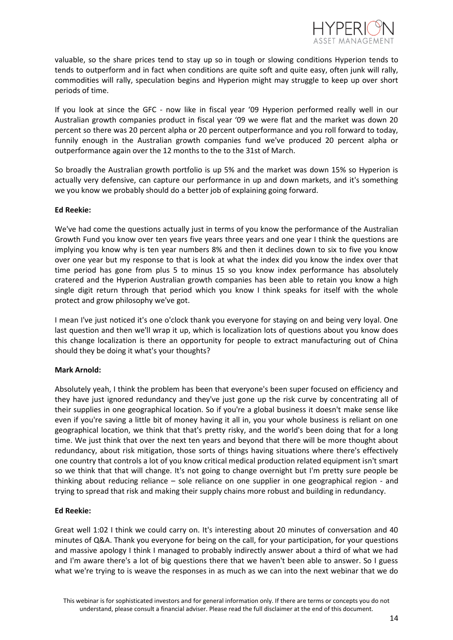

valuable, so the share prices tend to stay up so in tough or slowing conditions Hyperion tends to tends to outperform and in fact when conditions are quite soft and quite easy, often junk will rally, commodities will rally, speculation begins and Hyperion might may struggle to keep up over short periods of time.

If you look at since the GFC - now like in fiscal year '09 Hyperion performed really well in our Australian growth companies product in fiscal year '09 we were flat and the market was down 20 percent so there was 20 percent alpha or 20 percent outperformance and you roll forward to today, funnily enough in the Australian growth companies fund we've produced 20 percent alpha or outperformance again over the 12 months to the to the 31st of March.

So broadly the Australian growth portfolio is up 5% and the market was down 15% so Hyperion is actually very defensive, can capture our performance in up and down markets, and it's something we you know we probably should do a better job of explaining going forward.

## **Ed Reekie:**

We've had come the questions actually just in terms of you know the performance of the Australian Growth Fund you know over ten years five years three years and one year I think the questions are implying you know why is ten year numbers 8% and then it declines down to six to five you know over one year but my response to that is look at what the index did you know the index over that time period has gone from plus 5 to minus 15 so you know index performance has absolutely cratered and the Hyperion Australian growth companies has been able to retain you know a high single digit return through that period which you know I think speaks for itself with the whole protect and grow philosophy we've got.

I mean I've just noticed it's one o'clock thank you everyone for staying on and being very loyal. One last question and then we'll wrap it up, which is localization lots of questions about you know does this change localization is there an opportunity for people to extract manufacturing out of China should they be doing it what's your thoughts?

## **Mark Arnold:**

Absolutely yeah, I think the problem has been that everyone's been super focused on efficiency and they have just ignored redundancy and they've just gone up the risk curve by concentrating all of their supplies in one geographical location. So if you're a global business it doesn't make sense like even if you're saving a little bit of money having it all in, you your whole business is reliant on one geographical location, we think that that's pretty risky, and the world's been doing that for a long time. We just think that over the next ten years and beyond that there will be more thought about redundancy, about risk mitigation, those sorts of things having situations where there's effectively one country that controls a lot of you know critical medical production related equipment isn't smart so we think that that will change. It's not going to change overnight but I'm pretty sure people be thinking about reducing reliance – sole reliance on one supplier in one geographical region - and trying to spread that risk and making their supply chains more robust and building in redundancy.

## **Ed Reekie:**

Great well 1:02 I think we could carry on. It's interesting about 20 minutes of conversation and 40 minutes of Q&A. Thank you everyone for being on the call, for your participation, for your questions and massive apology I think I managed to probably indirectly answer about a third of what we had and I'm aware there's a lot of big questions there that we haven't been able to answer. So I guess what we're trying to is weave the responses in as much as we can into the next webinar that we do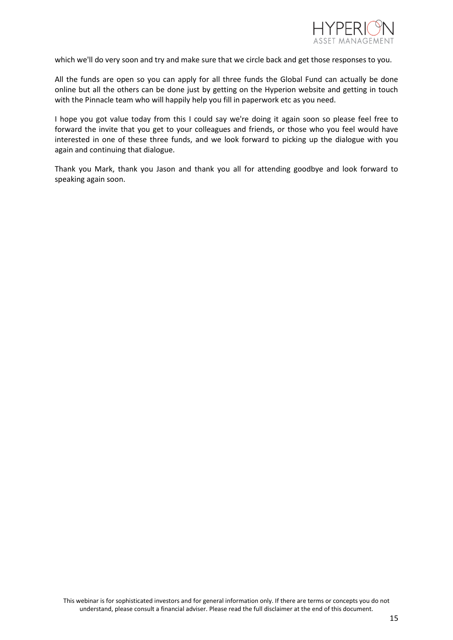

which we'll do very soon and try and make sure that we circle back and get those responses to you.

All the funds are open so you can apply for all three funds the Global Fund can actually be done online but all the others can be done just by getting on the Hyperion website and getting in touch with the Pinnacle team who will happily help you fill in paperwork etc as you need.

I hope you got value today from this I could say we're doing it again soon so please feel free to forward the invite that you get to your colleagues and friends, or those who you feel would have interested in one of these three funds, and we look forward to picking up the dialogue with you again and continuing that dialogue.

Thank you Mark, thank you Jason and thank you all for attending goodbye and look forward to speaking again soon.